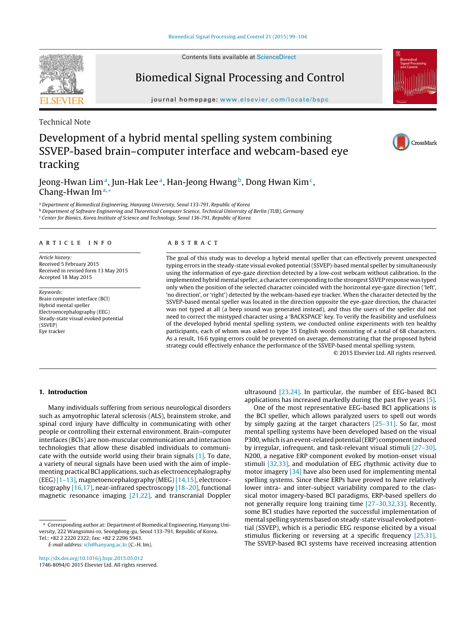Contents lists available at [ScienceDirect](http://www.sciencedirect.com/science/journal/17468094)

# **SEVIER**

Biomedical Signal Processing and Control

iournal homepage: [www.elsevier.com/locate/bspc](http://www.elsevier.com/locate/bspc)

Technical Note

# Development of a hybrid mental spelling system combining SSVEP-based brain–computer interface and webcam-based eye tracking

Jeong-Hwan Lim<sup>a</sup>, Jun-Hak Lee<sup>a</sup>, Han-Jeong Hwang<sup>b</sup>, Dong Hwan Kim<sup>c</sup>, Chang-Hwan Im<sup>a,∗</sup>

<sup>a</sup> Department of Biomedical Engineering, Hanyang University, Seoul 133-791, Republic of Korea

<sup>b</sup> Department of Software Engineering and Theoretical Computer Science, Technical University of Berlin (TUB), Germany

<sup>c</sup> Center for Bionics, Korea Institute of Science and Technology, Seoul 136-791, Republic of Korea

# a r t i c l e i n f o

Article history: Received 5 February 2015 Received in revised form 13 May 2015 Accepted 18 May 2015

Keywords: Brain computer interface (BCI) Hybrid mental speller Electroencephalography (EEG) Steady-state visual evoked potential (SSVEP) Eye tracker

# A B S T R A C T

The goal of this study was to develop a hybrid mental speller that can effectively prevent unexpected typing errors in the steady-state visual evoked potential (SSVEP)-based mental speller by simultaneously using the information of eye-gaze direction detected by a low-cost webcam without calibration. In the implemented hybrid mental speller, a character corresponding to the strongest SSVEP response was typed only when the position of the selected character coincided with the horizontal eye-gaze direction ('left', 'no direction', or 'right') detected by the webcam-based eye tracker. When the character detected by the SSVEP-based mental speller was located in the direction opposite the eye-gaze direction, the character was not typed at all (a beep sound was generated instead), and thus the users of the speller did not need to correct the mistyped character using a 'BACKSPACE' key. To verify the feasibility and usefulness of the developed hybrid mental spelling system, we conducted online experiments with ten healthy participants, each of whom was asked to type 15 English words consisting of a total of 68 characters. As a result, 16.6 typing errors could be prevented on average, demonstrating that the proposed hybrid strategy could effectively enhance the performance of the SSVEP-based mental spelling system.

© 2015 Elsevier Ltd. All rights reserved.

# **1. Introduction**

Many individuals suffering from serious neurological disorders such as amyotrophic lateral sclerosis (ALS), brainstem stroke, and spinal cord injury have difficulty in communicating with other people or controlling their external environment. Brain–computer interfaces (BCIs) are non-muscular communication and interaction technologies that allow these disabled individuals to communicate with the outside world using their brain signals [\[1\].](#page-4-0) To date, a variety of neural signals have been used with the aim of implementing practical BCI applications, such as electroencephalography (EEG) [\[1–13\],](#page-4-0) magnetoencephalography (MEG) [\[14,15\],](#page-5-0) electrocorticography [\[16,17\],](#page-5-0) near-infrared spectroscopy [\[18–20\],](#page-5-0) functional magnetic resonance imaging [\[21,22\],](#page-5-0) and transcranial Doppler

E-mail address: [ich@hanyang.ac.kr](mailto:ich@hanyang.ac.kr) (C.-H. Im).

[http://dx.doi.org/10.1016/j.bspc.2015.05.012](dx.doi.org/10.1016/j.bspc.2015.05.012) 1746-8094/© 2015 Elsevier Ltd. All rights reserved. ultrasound [\[23,24\].](#page-5-0) In particular, the number of EEG-based BCI applications has increased markedly during the past five years [\[5\].](#page-4-0)

One of the most representative EEG-based BCI applications is the BCI speller, which allows paralyzed users to spell out words by simply gazing at the target characters [\[25–31\].](#page-5-0) So far, most mental spelling systems have been developed based on the visual P300, which is an event-related potential (ERP) component induced by irregular, infrequent, and task-relevant visual stimuli [\[27–30\].](#page-5-0) N200, a negative ERP component evoked by motion-onset visual stimuli [\[32,33\],](#page-5-0) and modulation of EEG rhythmic activity due to motor imagery [\[34\]](#page-5-0) have also been used for implementing mental spelling systems. Since these ERPs have proved to have relatively lower intra- and inter-subject variability compared to the classical motor imagery-based BCI paradigms, ERP-based spellers do not generally require long training time [\[27–30,32,33\].](#page-5-0) Recently, some BCI studies have reported the successful implementation of mental spelling systems based on steady-state visual evoked potential (SSVEP), which is a periodic EEG response elicited by a visual stimulus flickering or reversing at a specific frequency [\[25,31\].](#page-5-0) The SSVEP-based BCI systems have received increasing attention



<sup>∗</sup> Corresponding author at: Department of Biomedical Engineering, Hanyang University, 222 Wangsimni-ro, Seongdong-gu, Seoul 133-791, Republic of Korea. Tel.: +82 2 2220 2322; fax: +82 2 2296 5943.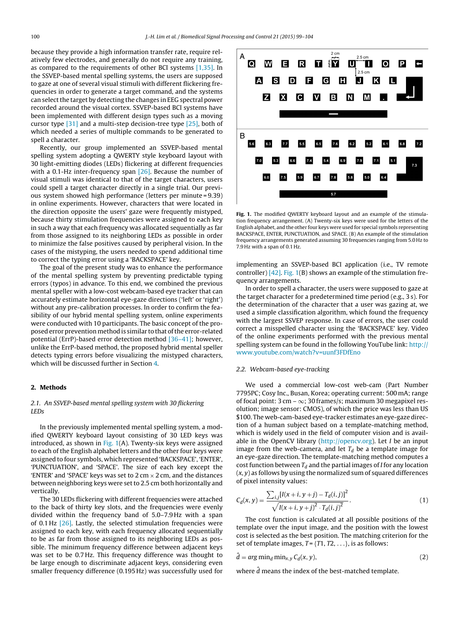because they provide a high information transfer rate, require relatively few electrodes, and generally do not require any training, as compared to the requirements of other BCI systems [\[1,35\].](#page-4-0) In the SSVEP-based mental spelling systems, the users are supposed to gaze at one of several visual stimuli with different flickering frequencies in order to generate a target command, and the systems can select the target by detecting the changes in EEG spectral power recorded around the visual cortex. SSVEP-based BCI systems have been implemented with different design types such as a moving cursor type [\[31\]](#page-5-0) and a multi-step decision-tree type [\[25\],](#page-5-0) both of which needed a series of multiple commands to be generated to spell a character.

Recently, our group implemented an SSVEP-based mental spelling system adopting a QWERTY style keyboard layout with 30 light-emitting diodes (LEDs) flickering at different frequencies with a 0.1-Hz inter-frequency span  $[26]$ . Because the number of visual stimuli was identical to that of the target characters, users could spell a target character directly in a single trial. Our previous system showed high performance (letters per minute = 9.39) in online experiments. However, characters that were located in the direction opposite the users' gaze were frequently mistyped, because thirty stimulation frequencies were assigned to each key in such a way that each frequency was allocated sequentially as far from those assigned to its neighboring LEDs as possible in order to minimize the false positives caused by peripheral vision. In the cases of the mistyping, the users needed to spend additional time to correct the typing error using a 'BACKSPACE' key.

The goal of the present study was to enhance the performance of the mental spelling system by preventing predictable typing errors (typos) in advance. To this end, we combined the previous mental speller with a low-cost webcam-based eye tracker that can accurately estimate horizontal eye-gaze directions ('left' or 'right') without any pre-calibration processes. In order to confirm the feasibility of our hybrid mental spelling system, online experiments were conducted with 10 participants. The basic concept of the proposed error prevention method is similar to that of the error-related potential (ErrP)-based error detection method [\[36–41\];](#page-5-0) however, unlike the ErrP-based method, the proposed hybrid mental speller detects typing errors before visualizing the mistyped characters, which will be discussed further in Section [4.](#page-3-0)

# **2. Methods**

2.1. An SSVEP-based mental spelling system with 30 flickering **LEDs** 

In the previously implemented mental spelling system, a modified QWERTY keyboard layout consisting of 30 LED keys was introduced, as shown in Fig.  $1(A)$ . Twenty-six keys were assigned to each of the English alphabet letters and the other four keys were assigned to four symbols, which represented 'BACKSPACE', 'ENTER', 'PUNCTUATION', and 'SPACE'. The size of each key except the 'ENTER' and 'SPACE' keys was set to  $2 \text{ cm} \times 2 \text{ cm}$ , and the distances between neighboring keys were set to 2.5 cm both horizontally and vertically.

The 30 LEDs flickering with different frequencies were attached to the back of thirty key slots, and the frequencies were evenly divided within the frequency band of 5.0–7.9 Hz with a span of 0.1 Hz [\[26\].](#page-5-0) Lastly, the selected stimulation frequencies were assigned to each key, with each frequency allocated sequentially to be as far from those assigned to its neighboring LEDs as possible. The minimum frequency difference between adjacent keys was set to be 0.7 Hz. This frequency difference was thought to be large enough to discriminate adjacent keys, considering even smaller frequency difference (0.195 Hz) was successfully used for



**Fig. 1.** The modified QWERTY keyboard layout and an example of the stimulation frequency arrangement. (A) Twenty-six keys were used for the letters of the English alphabet, and the other four keys were used for special symbols representing BACKSPACE, ENTER, PUNCTUATION, and SPACE. (B) An example of the stimulation frequency arrangements generated assuming 30 frequencies ranging from 5.0 Hz to 7.9 Hz with a span of 0.1 Hz.

implementing an SSVEP-based BCI application (i.e., TV remote controller)  $[42]$ . Fig. 1(B) shows an example of the stimulation frequency arrangements.

In order to spell a character, the users were supposed to gaze at the target character for a predetermined time period (e.g., 3 s). For the determination of the character that a user was gazing at, we used a simple classification algorithm, which found the frequency with the largest SSVEP response. In case of errors, the user could correct a misspelled character using the 'BACKSPACE' key. Video of the online experiments performed with the previous mental spelling system can be found in the following YouTube link: [http://](http://www.youtube.com/watch?v=uunf3FDfEno) [www.youtube.com/watch?v=uunf3FDfEno](http://www.youtube.com/watch?v=uunf3FDfEno)

#### 2.2. Webcam-based eye-tracking

We used a commercial low-cost web-cam (Part Number 7795PC; Cosy Inc., Busan, Korea; operating current: 500 mA; range of focal point:  $3 \text{ cm} - \infty$ ;  $30 \text{ frames/s}$ ; maximum  $30 \text{ megapixel res}$ olution; image sensor: CMOS), of which the price was less than US \$100. The web-cam-based eye-tracker estimates an eye-gaze direction of a human subject based on a template-matching method, which is widely used in the field of computer vision and is available in the OpenCV library  $(http://operator.org)$ . Let *I* be an input image from the web-camera, and let  $T_d$  be a template image for an eye-gaze direction. The template-matching method computes a cost function between  $T_d$  and the partial images of *I* for any location  $(x, y)$  as follows by using the normalized sum of squared differences of pixel intensity values:

$$
C_d(x,y) = \frac{\sum_{i,j} [I(x+i, y+j) - T_d(i,j)]^2}{\sqrt{I(x+i, y+j)^2 \cdot T_d(i,j)^2}}.
$$
\n(1)

The cost function is calculated at all possible positions of the template over the input image, and the position with the lowest cost is selected as the best position. The matching criterion for the set of template images,  $T = \{T1, T2, \ldots\}$ , is as follows:

$$
\hat{d} = \arg\min_{d} \min_{x,y} C_d(x,y),\tag{2}
$$

where d means the index of the best-matched template.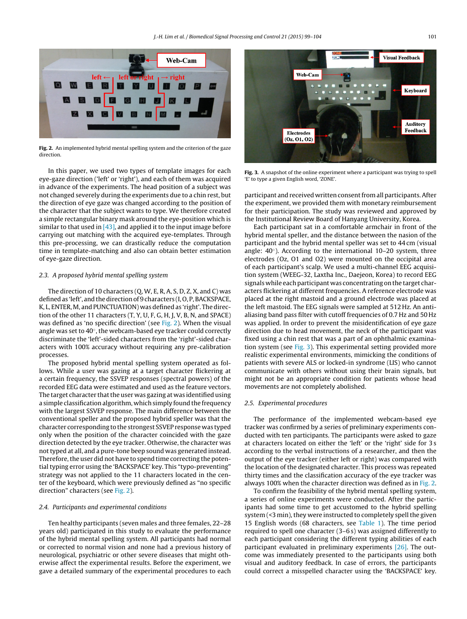<span id="page-2-0"></span>

**Fig. 2.** An implemented hybrid mental spelling system and the criterion of the gaze direction.

In this paper, we used two types of template images for each eye-gaze direction ('left' or 'right'), and each of them was acquired in advance of the experiments. The head position of a subject was not changed severely during the experiments due to a chin rest, but the direction of eye gaze was changed according to the position of the character that the subject wants to type. We therefore created a simple rectangular binary mask around the eye-position which is similar to that used in  $[43]$ , and applied it to the input image before carrying out matching with the acquired eye-templates. Through this pre-processing, we can drastically reduce the computation time in template-matching and also can obtain better estimation of eye-gaze direction.

# 2.3. A proposed hybrid mental spelling system

The direction of 10 characters (Q, W, E, R, A, S, D, Z, X, and C) was defined as 'left', and the direction of 9 characters (I, O, P, BACKSPACE, K, L, ENTER, M, and PUNCTUATION) was defined as 'right'. The direction of the other 11 characters (T, Y, U, F, G, H, J, V, B, N, and SPACE) was defined as 'no specific direction' (see Fig. 2). When the visual angle was set to 40◦, the webcam-based eye tracker could correctly discriminate the 'left'-sided characters from the 'right'-sided characters with 100% accuracy without requiring any pre-calibration processes.

The proposed hybrid mental spelling system operated as follows. While a user was gazing at a target character flickering at a certain frequency, the SSVEP responses (spectral powers) of the recorded EEG data were estimated and used as the feature vectors. The target character that the user was gazing at was identified using a simple classification algorithm, which simply found the frequency with the largest SSVEP response. The main difference between the conventional speller and the proposed hybrid speller was that the character corresponding to the strongest SSVEP response was typed only when the position of the character coincided with the gaze direction detected by the eye tracker. Otherwise, the character was not typed at all, and a pure-tone beep sound was generated instead. Therefore, the user did not have to spend time correcting the potential typing error using the 'BACKSPACE' key. This "typo-preventing" strategy was not applied to the 11 characters located in the center of the keyboard, which were previously defined as "no specific direction" characters (see Fig. 2).

# 2.4. Participants and experimental conditions

Ten healthy participants (seven males and three females, 22–28 years old) participated in this study to evaluate the performance of the hybrid mental spelling system. All participants had normal or corrected to normal vision and none had a previous history of neurological, psychiatric or other severe diseases that might otherwise affect the experimental results. Before the experiment, we gave a detailed summary of the experimental procedures to each



**Fig. 3.** A snapshot of the online experiment where a participant was trying to spell 'E' to type a given English word, 'ZONE'.

participant and received written consent from all participants. After the experiment, we provided them with monetary reimbursement for their participation. The study was reviewed and approved by the Institutional Review Board of Hanyang University, Korea.

Each participant sat in a comfortable armchair in front of the hybrid mental speller, and the distance between the nasion of the participant and the hybrid mental speller was set to 44 cm (visual angle: 40◦). According to the international 10–20 system, three electrodes (Oz, O1 and O2) were mounted on the occipital area of each participant's scalp. We used a multi-channel EEG acquisition system (WEEG-32, Laxtha Inc., Daejeon, Korea) to record EEG signals while each participant was concentrating on the target characters flickering at different frequencies. A reference electrode was placed at the right mastoid and a ground electrode was placed at the left mastoid. The EEG signals were sampled at 512 Hz. An antialiasing band pass filter with cutoff frequencies of 0.7 Hz and 50 Hz was applied. In order to prevent the misidentification of eye gaze direction due to head movement, the neck of the participant was fixed using a chin rest that was a part of an ophthalmic examination system (see Fig. 3). This experimental setting provided more realistic experimental environments, mimicking the conditions of patients with severe ALS or locked-in syndrome (LIS) who cannot communicate with others without using their brain signals, but might not be an appropriate condition for patients whose head movements are not completely abolished.

#### 2.5. Experimental procedures

The performance of the implemented webcam-based eye tracker was confirmed by a series of preliminary experiments conducted with ten participants. The participants were asked to gaze at characters located on either the 'left' or the 'right' side for 3 s according to the verbal instructions of a researcher, and then the output of the eye tracker (either left or right) was compared with the location of the designated character. This process was repeated thirty times and the classification accuracy of the eye tracker was always 100% when the character direction was defined as in Fig. 2.

To confirm the feasibility of the hybrid mental spelling system, a series of online experiments were conducted. After the participants had some time to get accustomed to the hybrid spelling system  $(3 \text{ min})$ , they were instructed to completely spell the given 15 English words (68 characters, see [Table](#page-3-0) 1). The time period required to spell one character (3–6 s) was assigned differently to each participant considering the different typing abilities of each participant evaluated in preliminary experiments [\[26\].](#page-5-0) The outcome was immediately presented to the participants using both visual and auditory feedback. In case of errors, the participants could correct a misspelled character using the 'BACKSPACE' key.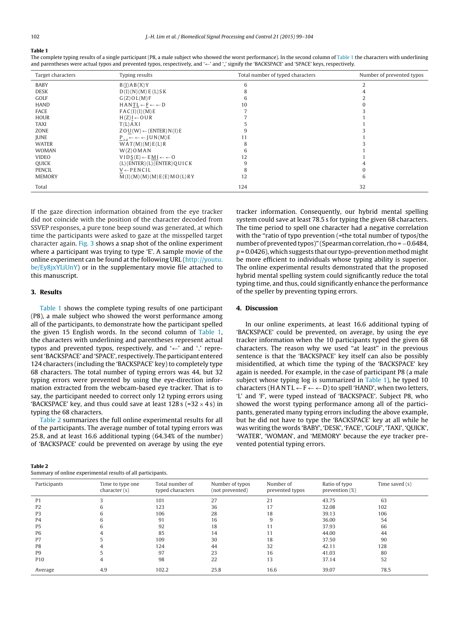# <span id="page-3-0"></span>**Table 1**

The complete typing results of a single participant (P8, a male subject who showed the worst performance). In the second column of Table 1 the characters with underlining and parentheses were actual typos and prevented typos, respectively, and '←' and '<sub>-'</sub> signify the 'BACKSPACE' and 'SPACE' keys, respectively.

| Target characters | Typing results                                   | Total number of typed characters | Number of prevented typos |
|-------------------|--------------------------------------------------|----------------------------------|---------------------------|
| <b>BABY</b>       | B(J)AB(X)Y                                       | 6                                |                           |
| <b>DESK</b>       | D(I)(N)(M) E(L) S K                              |                                  |                           |
| GOLF              | G(Z) O L(M) F                                    | 6                                |                           |
| <b>HAND</b>       | $HANTL \leftarrow F \leftarrow \leftarrow D$     | 10                               |                           |
| FACE              | FAC(I)(I)(M)E                                    |                                  |                           |
| <b>HOUR</b>       | $H(Z)I \leftarrow OUR$                           |                                  |                           |
| <b>TAXI</b>       | T(L)AXI                                          |                                  |                           |
| ZONE              | $ZOU(W) \leftarrow (ENTER) N(I) E$               |                                  |                           |
| <b>JUNE</b>       | $P_{-+} \leftarrow \leftarrow$ JUN(M)E           | 11                               |                           |
| <b>WATER</b>      | WAT(M)(M)E(L)R                                   | 8                                |                           |
| <b>WOMAN</b>      | $W(Z)$ OMAN                                      | b                                |                           |
| <b>VIDEO</b>      | $VIDS(E) \leftarrow EMI \leftarrow \leftarrow O$ | 12                               |                           |
| QUICK             | $(L)$ (ENTER) $(L)$ (ENTER) $Q$ UICK             |                                  |                           |
| <b>PENCIL</b>     | $V \leftarrow PENCIL$                            | 8                                |                           |
| <b>MEMORY</b>     | M(I)(M)(M)(M)E(E)MO(L)RY                         | 12                               | 6                         |
| Total             |                                                  | 124                              | 32                        |

If the gaze direction information obtained from the eye tracker did not coincide with the position of the character decoded from SSVEP responses, a pure tone beep sound was generated, at which time the participants were asked to gaze at the misspelled target character again. [Fig.](#page-2-0) 3 shows a snap shot of the online experiment where a participant was trying to type 'E'. A sample movie of the online experiment can be found at the following URL [\(http://youtu.](http://youtu.be/Ey8jxYLiUnY) [be/Ey8jxYLiUnY\)](http://youtu.be/Ey8jxYLiUnY) or in the supplementary movie file attached to this manuscript.

# **3. Results**

**Table 2**

Table 1 shows the complete typing results of one participant (P8), a male subject who showed the worst performance among all of the participants, to demonstrate how the participant spelled the given 15 English words. In the second column of Table 1, the characters with underlining and parentheses represent actual typos and prevented typos, respectively, and ' $\leftarrow$ ' and '<sub>-</sub>' represent 'BACKSPACE' and 'SPACE', respectively. The participant entered 124 characters (including the 'BACKSPACE' key) to completely type 68 characters. The total number of typing errors was 44, but 32 typing errors were prevented by using the eye-direction information extracted from the webcam-based eye tracker. That is to say, the participant needed to correct only 12 typing errors using 'BACKSPACE' key, and thus could save at least  $128s$  (=32  $\times$  4 s) in typing the 68 characters.

Table 2 summarizes the full online experimental results for all of the participants. The average number of total typing errors was 25.8, and at least 16.6 additional typing (64.34% of the number) of 'BACKSPACE' could be prevented on average by using the eye

Summary of online experimental results of all participants.

| system could save at least 78.5 s for typing the given 68 characters. |
|-----------------------------------------------------------------------|
| The time period to spell one character had a negative correlation     |
| with the "ratio of typo prevention (=the total number of typos/the    |
| number of prevented typos)" (Spearman correlation, rho = $-0.6484$ ,  |
| $p = 0.0426$ ), which suggests that our typo-prevention method might  |
| be more efficient to individuals whose typing ability is superior.    |
| The online experimental results demonstrated that the proposed        |
| hybrid mental spelling system could significantly reduce the total    |
| typing time, and thus, could significantly enhance the performance    |
| of the speller by preventing typing errors.                           |
|                                                                       |

tracker information. Consequently, our hybrid mental spelling

# **4. Discussion**

In our online experiments, at least 16.6 additional typing of 'BACKSPACE' could be prevented, on average, by using the eye tracker information when the 10 participants typed the given 68 characters. The reason why we used "at least" in the previous sentence is that the 'BACKSPACE' key itself can also be possibly misidentified, at which time the typing of the 'BACKSPACE' key again is needed. For example, in the case of participant P8 (a male subject whose typing log is summarized in Table 1), he typed 10 characters (HANTL  $\leftarrow$  F $\leftarrow$   $\leftarrow$  D) to spell 'HAND', when two letters, 'L' and 'F', were typed instead of 'BACKSPACE'. Subject P8, who showed the worst typing performance among all of the participants, generated many typing errors including the above example, but he did not have to type the 'BACKSPACE' key at all while he was writing the words 'BABY', 'DESK', 'FACE', 'GOLF', 'TAXI', 'QUICK', 'WATER', 'WOMAN', and 'MEMORY' because the eye tracker prevented potential typing errors.

| Participants    | Time to type one<br>character(s) | Total number of<br>typed characters | Number of typos<br>(not prevented) | Number of<br>prevented typos | Ratio of typo<br>prevention $(\%)$ | Time saved $(s)$ |
|-----------------|----------------------------------|-------------------------------------|------------------------------------|------------------------------|------------------------------------|------------------|
| P <sub>1</sub>  |                                  | 101                                 | 27                                 | 21                           | 43.75                              | 63               |
| P <sub>2</sub>  | b                                | 123                                 | 36                                 | 17                           | 32.08                              | 102              |
| P <sub>3</sub>  | h                                | 106                                 | 28                                 | 18                           | 39.13                              | 106              |
| P4              | h                                | 91                                  | 16                                 |                              | 36.00                              | 54               |
| P <sub>5</sub>  | h                                | 92                                  | 18                                 |                              | 37.93                              | 66               |
| <b>P6</b>       |                                  | 85                                  | 14                                 |                              | 44.00                              | 44               |
| P7              |                                  | 109                                 | 30                                 | 18                           | 37.50                              | 90               |
| P <sub>8</sub>  |                                  | 124                                 | 44                                 | 32                           | 42.11                              | 128              |
| P <sub>9</sub>  |                                  | 97                                  | 23                                 | 16                           | 41.03                              | 80               |
| P <sub>10</sub> | 4                                | 98                                  | 22                                 | 13                           | 37.14                              | 52               |
| Average         | 4.9                              | 102.2                               | 25.8                               | 16.6                         | 39.07                              | 78.5             |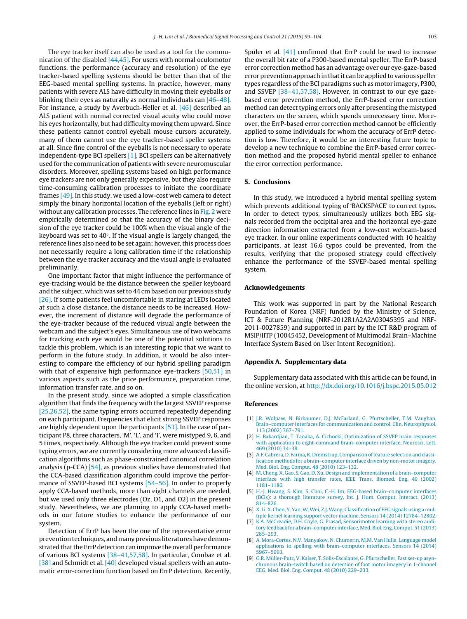<span id="page-4-0"></span>The eye tracker itself can also be used as a tool for the communication of the disabled [\[44,45\].](#page-5-0) For users with normal oculomotor functions, the performance (accuracy and resolution) of the eye tracker-based spelling systems should be better than that of the EEG-based mental spelling systems. In practice, however, many patients with severe ALS have difficulty in moving their eyeballs or blinking their eyes as naturally as normal individuals can [\[46–48\].](#page-5-0) For instance, a study by Averbuch-Heller et al. [\[46\]](#page-5-0) described an ALS patient with normal corrected visual acuity who could move his eyes horizontally, but had difficulty moving them upward. Since these patients cannot control eyeball mouse cursors accurately, many of them cannot use the eye tracker-based speller systems at all. Since fine control of the eyeballs is not necessary to operate independent-type BCI spellers [1], BCI spellers can be alternatively used for the communication of patients with severe neuromuscular disorders. Moreover, spelling systems based on high performance eye trackers are not only generally expensive, but they also require time-consuming calibration processes to initiate the coordinate frames [\[49\].](#page-5-0) In this study, we used a low-cost web camera to detect simply the binary horizontal location of the eyeballs (left or right) without any calibration processes. The reference lines in [Fig.](#page-2-0) 2 were empirically determined so that the accuracy of the binary decision of the eye tracker could be 100% when the visual angle of the keyboard was set to 40◦. If the visual angle is largely changed, the reference lines also need to be set again; however, this process does not necessarily require a long calibration time if the relationship between the eye tracker accuracy and the visual angle is evaluated preliminarily.

One important factor that might influence the performance of eye-tracking would be the distance between the speller keyboard and the subject, which was set to 44 cm based on our previous study [\[26\].](#page-5-0) If some patients feel uncomfortable in staring at LEDs located at such a close distance, the distance needs to be increased. However, the increment of distance will degrade the performance of the eye-tracker because of the reduced visual angle between the webcam and the subject's eyes. Simultaneous use of two webcams for tracking each eye would be one of the potential solutions to tackle this problem, which is an interesting topic that we want to perform in the future study. In addition, it would be also interesting to compare the efficiency of our hybrid spelling paradigm with that of expensive high performance eye-trackers [\[50,51\]](#page-5-0) in various aspects such as the price performance, preparation time, information transfer rate, and so on.

In the present study, since we adopted a simple classification algorithm that finds the frequency with the largest SSVEP response [\[25,26,52\],](#page-5-0) the same typing errors occurred repeatedly depending on each participant. Frequencies that elicit strong SSVEP responses are highly dependent upon the participants [\[53\].](#page-5-0) In the case of participant P8, three characters, 'M', 'L', and 'I', were mistyped 9, 6, and 5 times, respectively. Although the eye tracker could prevent some typing errors, we are currently considering more advanced classification algorithms such as phase-constrained canonical correlation analysis (p-CCA) [\[54\],](#page-5-0) as previous studies have demonstrated that the CCA-based classification algorithm could improve the performance of SSVEP-based BCI systems [54-56]. In order to properly apply CCA-based methods, more than eight channels are needed, but we used only three electrodes (Oz, O1, and O2) in the present study. Nevertheless, we are planning to apply CCA-based methods in our future studies to enhance the performance of our system.

Detection of ErrP has been the one of the representative error prevention techniques, and many previous literatures have demonstrated that the ErrP detection can improve the overall performance of various BCI systems [\[38–41,57,58\].](#page-5-0) In particular, Combaz et al. [\[38\]](#page-5-0) and Schmidt et al. [\[40\]](#page-5-0) developed visual spellers with an automatic error-correction function based on ErrP detection. Recently, Spüler et al. [\[41\]](#page-5-0) confirmed that ErrP could be used to increase the overall bit rate of a P300-based mental speller. The ErrP-based error correction method has an advantage over our eye-gaze-based error prevention approach in that it can be applied to various speller types regardless of the BCI paradigms such as motor imagery, P300, and SSVEP [\[38–41,57,58\].](#page-5-0) However, in contrast to our eye gazebased error prevention method, the ErrP-based error correction method can detect typing errors only after presenting the mistyped characters on the screen, which spends unnecessary time. Moreover, the ErrP-based error correction method cannot be efficiently applied to some individuals for whom the accuracy of ErrP detection is low. Therefore, it would be an interesting future topic to develop a new technique to combine the ErrP-based error correction method and the proposed hybrid mental speller to enhance the error correction performance.

# **5. Conclusions**

In this study, we introduced a hybrid mental spelling system which prevents additional typing of 'BACKSPACE' to correct typos. In order to detect typos, simultaneously utilizes both EEG signals recorded from the occipital area and the horizontal eye-gaze direction information extracted from a low-cost webcam-based eye tracker. In our online experiments conducted with 10 healthy participants, at least 16.6 typos could be prevented, from the results, verifying that the proposed strategy could effectively enhance the performance of the SSVEP-based mental spelling system.

#### **Acknowledgements**

This work was supported in part by the National Research Foundation of Korea (NRF) funded by the Ministry of Science, ICT & Future Planning (NRF-2012R1A2A2A03045395 and NRF-2011-0027859) and supported in part by the ICT R&D program of MSIP/IITP (10045452, Development of Multimodal Brain–Machine Interface System Based on User Intent Recognition).

# **Appendix A. Supplementary data**

Supplementary data associated with this article can be found, in the online version, at <http://dx.doi.org/10.1016/j.bspc.2015.05.012>

#### **References**

- [1] [J.R.](http://refhub.elsevier.com/S1746-8094(15)00091-9/sbref0295) [Wolpaw,](http://refhub.elsevier.com/S1746-8094(15)00091-9/sbref0295) [N.](http://refhub.elsevier.com/S1746-8094(15)00091-9/sbref0295) [Birbaumer,](http://refhub.elsevier.com/S1746-8094(15)00091-9/sbref0295) [D.J.](http://refhub.elsevier.com/S1746-8094(15)00091-9/sbref0295) [McFarland,](http://refhub.elsevier.com/S1746-8094(15)00091-9/sbref0295) [G.](http://refhub.elsevier.com/S1746-8094(15)00091-9/sbref0295) [Pfurtscheller,](http://refhub.elsevier.com/S1746-8094(15)00091-9/sbref0295) [T.M.](http://refhub.elsevier.com/S1746-8094(15)00091-9/sbref0295) [Vaughan,](http://refhub.elsevier.com/S1746-8094(15)00091-9/sbref0295) [Brain–computer](http://refhub.elsevier.com/S1746-8094(15)00091-9/sbref0295) [interfaces](http://refhub.elsevier.com/S1746-8094(15)00091-9/sbref0295) [for](http://refhub.elsevier.com/S1746-8094(15)00091-9/sbref0295) [communication](http://refhub.elsevier.com/S1746-8094(15)00091-9/sbref0295) [and](http://refhub.elsevier.com/S1746-8094(15)00091-9/sbref0295) [control,](http://refhub.elsevier.com/S1746-8094(15)00091-9/sbref0295) [Clin.](http://refhub.elsevier.com/S1746-8094(15)00091-9/sbref0295) [Neurophysiol.](http://refhub.elsevier.com/S1746-8094(15)00091-9/sbref0295) [113](http://refhub.elsevier.com/S1746-8094(15)00091-9/sbref0295) [\(2002\)](http://refhub.elsevier.com/S1746-8094(15)00091-9/sbref0295) [767](http://refhub.elsevier.com/S1746-8094(15)00091-9/sbref0295)–[791.](http://refhub.elsevier.com/S1746-8094(15)00091-9/sbref0295)
- [2] [H.](http://refhub.elsevier.com/S1746-8094(15)00091-9/sbref0300) [Bakardjian,](http://refhub.elsevier.com/S1746-8094(15)00091-9/sbref0300) [T.](http://refhub.elsevier.com/S1746-8094(15)00091-9/sbref0300) [Tanaka,](http://refhub.elsevier.com/S1746-8094(15)00091-9/sbref0300) [A.](http://refhub.elsevier.com/S1746-8094(15)00091-9/sbref0300) [Cichocki,](http://refhub.elsevier.com/S1746-8094(15)00091-9/sbref0300) [Optimization](http://refhub.elsevier.com/S1746-8094(15)00091-9/sbref0300) [of](http://refhub.elsevier.com/S1746-8094(15)00091-9/sbref0300) [SSVEP](http://refhub.elsevier.com/S1746-8094(15)00091-9/sbref0300) [brain](http://refhub.elsevier.com/S1746-8094(15)00091-9/sbref0300) [responses](http://refhub.elsevier.com/S1746-8094(15)00091-9/sbref0300) [with](http://refhub.elsevier.com/S1746-8094(15)00091-9/sbref0300) [application](http://refhub.elsevier.com/S1746-8094(15)00091-9/sbref0300) [to](http://refhub.elsevier.com/S1746-8094(15)00091-9/sbref0300) [eight-command](http://refhub.elsevier.com/S1746-8094(15)00091-9/sbref0300) [brain–computer](http://refhub.elsevier.com/S1746-8094(15)00091-9/sbref0300) [interface,](http://refhub.elsevier.com/S1746-8094(15)00091-9/sbref0300) [Neurosci.](http://refhub.elsevier.com/S1746-8094(15)00091-9/sbref0300) [Lett.](http://refhub.elsevier.com/S1746-8094(15)00091-9/sbref0300) [469](http://refhub.elsevier.com/S1746-8094(15)00091-9/sbref0300) [\(2010\)](http://refhub.elsevier.com/S1746-8094(15)00091-9/sbref0300) [34](http://refhub.elsevier.com/S1746-8094(15)00091-9/sbref0300)–[38.](http://refhub.elsevier.com/S1746-8094(15)00091-9/sbref0300)
- [3] A.F. Cabrera, [D.](http://refhub.elsevier.com/S1746-8094(15)00091-9/sbref0305) Farina, K. Dremstrup, Comparison of feature selection and classi[fication](http://refhub.elsevier.com/S1746-8094(15)00091-9/sbref0305) [methods](http://refhub.elsevier.com/S1746-8094(15)00091-9/sbref0305) [for](http://refhub.elsevier.com/S1746-8094(15)00091-9/sbref0305) [a](http://refhub.elsevier.com/S1746-8094(15)00091-9/sbref0305) [brain](http://refhub.elsevier.com/S1746-8094(15)00091-9/sbref0305)–[computer](http://refhub.elsevier.com/S1746-8094(15)00091-9/sbref0305) [interface](http://refhub.elsevier.com/S1746-8094(15)00091-9/sbref0305) [driven](http://refhub.elsevier.com/S1746-8094(15)00091-9/sbref0305) [by](http://refhub.elsevier.com/S1746-8094(15)00091-9/sbref0305) [non-motor](http://refhub.elsevier.com/S1746-8094(15)00091-9/sbref0305) [imagery,](http://refhub.elsevier.com/S1746-8094(15)00091-9/sbref0305) [Med.](http://refhub.elsevier.com/S1746-8094(15)00091-9/sbref0305) [Biol.](http://refhub.elsevier.com/S1746-8094(15)00091-9/sbref0305) [Eng.](http://refhub.elsevier.com/S1746-8094(15)00091-9/sbref0305) [Comput.](http://refhub.elsevier.com/S1746-8094(15)00091-9/sbref0305) [48](http://refhub.elsevier.com/S1746-8094(15)00091-9/sbref0305) [\(2010\)](http://refhub.elsevier.com/S1746-8094(15)00091-9/sbref0305) [123](http://refhub.elsevier.com/S1746-8094(15)00091-9/sbref0305)–[132.](http://refhub.elsevier.com/S1746-8094(15)00091-9/sbref0305)
- [4] [M.](http://refhub.elsevier.com/S1746-8094(15)00091-9/sbref0310) Cheng, X. [Gao,](http://refhub.elsevier.com/S1746-8094(15)00091-9/sbref0310) [S.](http://refhub.elsevier.com/S1746-8094(15)00091-9/sbref0310) Gao, D. Xu, [Design](http://refhub.elsevier.com/S1746-8094(15)00091-9/sbref0310) [and](http://refhub.elsevier.com/S1746-8094(15)00091-9/sbref0310) [implementation](http://refhub.elsevier.com/S1746-8094(15)00091-9/sbref0310) [of](http://refhub.elsevier.com/S1746-8094(15)00091-9/sbref0310) [a](http://refhub.elsevier.com/S1746-8094(15)00091-9/sbref0310) brain-computer [interface](http://refhub.elsevier.com/S1746-8094(15)00091-9/sbref0310) [with](http://refhub.elsevier.com/S1746-8094(15)00091-9/sbref0310) [high](http://refhub.elsevier.com/S1746-8094(15)00091-9/sbref0310) [transfer](http://refhub.elsevier.com/S1746-8094(15)00091-9/sbref0310) [rates,](http://refhub.elsevier.com/S1746-8094(15)00091-9/sbref0310) [IEEE](http://refhub.elsevier.com/S1746-8094(15)00091-9/sbref0310) [Trans.](http://refhub.elsevier.com/S1746-8094(15)00091-9/sbref0310) [Biomed.](http://refhub.elsevier.com/S1746-8094(15)00091-9/sbref0310) [Eng.](http://refhub.elsevier.com/S1746-8094(15)00091-9/sbref0310) [49](http://refhub.elsevier.com/S1746-8094(15)00091-9/sbref0310) [\(2002\)](http://refhub.elsevier.com/S1746-8094(15)00091-9/sbref0310) [1181](http://refhub.elsevier.com/S1746-8094(15)00091-9/sbref0310)–[1186.](http://refhub.elsevier.com/S1746-8094(15)00091-9/sbref0310)
- [5] [H.-J.](http://refhub.elsevier.com/S1746-8094(15)00091-9/sbref0315) [Hwang,](http://refhub.elsevier.com/S1746-8094(15)00091-9/sbref0315) [S.](http://refhub.elsevier.com/S1746-8094(15)00091-9/sbref0315) [Kim,](http://refhub.elsevier.com/S1746-8094(15)00091-9/sbref0315) [S.](http://refhub.elsevier.com/S1746-8094(15)00091-9/sbref0315) [Choi,](http://refhub.elsevier.com/S1746-8094(15)00091-9/sbref0315) [C.-H.](http://refhub.elsevier.com/S1746-8094(15)00091-9/sbref0315) [Im,](http://refhub.elsevier.com/S1746-8094(15)00091-9/sbref0315) [EEG-based](http://refhub.elsevier.com/S1746-8094(15)00091-9/sbref0315) [brain–computer](http://refhub.elsevier.com/S1746-8094(15)00091-9/sbref0315) [interfaces](http://refhub.elsevier.com/S1746-8094(15)00091-9/sbref0315) [\(BCIs\):](http://refhub.elsevier.com/S1746-8094(15)00091-9/sbref0315) [a](http://refhub.elsevier.com/S1746-8094(15)00091-9/sbref0315) [thorough](http://refhub.elsevier.com/S1746-8094(15)00091-9/sbref0315) [literature](http://refhub.elsevier.com/S1746-8094(15)00091-9/sbref0315) [survey,](http://refhub.elsevier.com/S1746-8094(15)00091-9/sbref0315) [Int.](http://refhub.elsevier.com/S1746-8094(15)00091-9/sbref0315) [J.](http://refhub.elsevier.com/S1746-8094(15)00091-9/sbref0315) [Hum.](http://refhub.elsevier.com/S1746-8094(15)00091-9/sbref0315) [Comput.](http://refhub.elsevier.com/S1746-8094(15)00091-9/sbref0315) [Interact.](http://refhub.elsevier.com/S1746-8094(15)00091-9/sbref0315) [\(2013\)](http://refhub.elsevier.com/S1746-8094(15)00091-9/sbref0315) [814–826.](http://refhub.elsevier.com/S1746-8094(15)00091-9/sbref0315)
- [6] [X.](http://refhub.elsevier.com/S1746-8094(15)00091-9/sbref0320) Li, X. [Chen,](http://refhub.elsevier.com/S1746-8094(15)00091-9/sbref0320) [Y.](http://refhub.elsevier.com/S1746-8094(15)00091-9/sbref0320) Yan, W. Wei, Z.J. Wang, [Classification](http://refhub.elsevier.com/S1746-8094(15)00091-9/sbref0320) [of](http://refhub.elsevier.com/S1746-8094(15)00091-9/sbref0320) [EEG](http://refhub.elsevier.com/S1746-8094(15)00091-9/sbref0320) [signals](http://refhub.elsevier.com/S1746-8094(15)00091-9/sbref0320) [using](http://refhub.elsevier.com/S1746-8094(15)00091-9/sbref0320) [a](http://refhub.elsevier.com/S1746-8094(15)00091-9/sbref0320) [mul](http://refhub.elsevier.com/S1746-8094(15)00091-9/sbref0320)[tiple](http://refhub.elsevier.com/S1746-8094(15)00091-9/sbref0320) [kernel](http://refhub.elsevier.com/S1746-8094(15)00091-9/sbref0320) [learning](http://refhub.elsevier.com/S1746-8094(15)00091-9/sbref0320) [support](http://refhub.elsevier.com/S1746-8094(15)00091-9/sbref0320) [vector](http://refhub.elsevier.com/S1746-8094(15)00091-9/sbref0320) [machine,](http://refhub.elsevier.com/S1746-8094(15)00091-9/sbref0320) [Sensors](http://refhub.elsevier.com/S1746-8094(15)00091-9/sbref0320) [14](http://refhub.elsevier.com/S1746-8094(15)00091-9/sbref0320) [\(2014\)](http://refhub.elsevier.com/S1746-8094(15)00091-9/sbref0320) [12784](http://refhub.elsevier.com/S1746-8094(15)00091-9/sbref0320)–[12802.](http://refhub.elsevier.com/S1746-8094(15)00091-9/sbref0320)
- [7] [K.A.](http://refhub.elsevier.com/S1746-8094(15)00091-9/sbref0325) [McCreadie,](http://refhub.elsevier.com/S1746-8094(15)00091-9/sbref0325) [D.H.](http://refhub.elsevier.com/S1746-8094(15)00091-9/sbref0325) [Coyle,](http://refhub.elsevier.com/S1746-8094(15)00091-9/sbref0325) [G.](http://refhub.elsevier.com/S1746-8094(15)00091-9/sbref0325) [Prasad,](http://refhub.elsevier.com/S1746-8094(15)00091-9/sbref0325) [Sensorimotor](http://refhub.elsevier.com/S1746-8094(15)00091-9/sbref0325) [learning](http://refhub.elsevier.com/S1746-8094(15)00091-9/sbref0325) [with](http://refhub.elsevier.com/S1746-8094(15)00091-9/sbref0325) [stereo](http://refhub.elsevier.com/S1746-8094(15)00091-9/sbref0325) [audi](http://refhub.elsevier.com/S1746-8094(15)00091-9/sbref0325)[tory](http://refhub.elsevier.com/S1746-8094(15)00091-9/sbref0325) [feedback](http://refhub.elsevier.com/S1746-8094(15)00091-9/sbref0325) [for](http://refhub.elsevier.com/S1746-8094(15)00091-9/sbref0325) [a](http://refhub.elsevier.com/S1746-8094(15)00091-9/sbref0325) brain-computer interface, Med. [Biol.](http://refhub.elsevier.com/S1746-8094(15)00091-9/sbref0325) [Eng.](http://refhub.elsevier.com/S1746-8094(15)00091-9/sbref0325) [Comput.](http://refhub.elsevier.com/S1746-8094(15)00091-9/sbref0325) [51](http://refhub.elsevier.com/S1746-8094(15)00091-9/sbref0325) [\(2013\)](http://refhub.elsevier.com/S1746-8094(15)00091-9/sbref0325) [285](http://refhub.elsevier.com/S1746-8094(15)00091-9/sbref0325)–[293.](http://refhub.elsevier.com/S1746-8094(15)00091-9/sbref0325)
- [8] [A.](http://refhub.elsevier.com/S1746-8094(15)00091-9/sbref0330) [Mora-Cortes,](http://refhub.elsevier.com/S1746-8094(15)00091-9/sbref0330) [N.V.](http://refhub.elsevier.com/S1746-8094(15)00091-9/sbref0330) [Manyakov,](http://refhub.elsevier.com/S1746-8094(15)00091-9/sbref0330) [N.](http://refhub.elsevier.com/S1746-8094(15)00091-9/sbref0330) [Chumerin,](http://refhub.elsevier.com/S1746-8094(15)00091-9/sbref0330) [M.M.](http://refhub.elsevier.com/S1746-8094(15)00091-9/sbref0330) [Van](http://refhub.elsevier.com/S1746-8094(15)00091-9/sbref0330) [Hulle,](http://refhub.elsevier.com/S1746-8094(15)00091-9/sbref0330) [Language](http://refhub.elsevier.com/S1746-8094(15)00091-9/sbref0330) [model](http://refhub.elsevier.com/S1746-8094(15)00091-9/sbref0330) [applications](http://refhub.elsevier.com/S1746-8094(15)00091-9/sbref0330) [to](http://refhub.elsevier.com/S1746-8094(15)00091-9/sbref0330) [spelling](http://refhub.elsevier.com/S1746-8094(15)00091-9/sbref0330) [with](http://refhub.elsevier.com/S1746-8094(15)00091-9/sbref0330) [brain–computer](http://refhub.elsevier.com/S1746-8094(15)00091-9/sbref0330) [interfaces,](http://refhub.elsevier.com/S1746-8094(15)00091-9/sbref0330) [Sensors](http://refhub.elsevier.com/S1746-8094(15)00091-9/sbref0330) [14](http://refhub.elsevier.com/S1746-8094(15)00091-9/sbref0330) [\(2014\)](http://refhub.elsevier.com/S1746-8094(15)00091-9/sbref0330) [5967–5993.](http://refhub.elsevier.com/S1746-8094(15)00091-9/sbref0330)
- [9] [G.R.](http://refhub.elsevier.com/S1746-8094(15)00091-9/sbref0335) [Müller-Putz,](http://refhub.elsevier.com/S1746-8094(15)00091-9/sbref0335) [V.](http://refhub.elsevier.com/S1746-8094(15)00091-9/sbref0335) [Kaiser,](http://refhub.elsevier.com/S1746-8094(15)00091-9/sbref0335) [T.](http://refhub.elsevier.com/S1746-8094(15)00091-9/sbref0335) [Solis-Escalante,](http://refhub.elsevier.com/S1746-8094(15)00091-9/sbref0335) [G.](http://refhub.elsevier.com/S1746-8094(15)00091-9/sbref0335) [Pfurtscheller,](http://refhub.elsevier.com/S1746-8094(15)00091-9/sbref0335) [Fast](http://refhub.elsevier.com/S1746-8094(15)00091-9/sbref0335) [set-up](http://refhub.elsevier.com/S1746-8094(15)00091-9/sbref0335) [asyn](http://refhub.elsevier.com/S1746-8094(15)00091-9/sbref0335)[chronous](http://refhub.elsevier.com/S1746-8094(15)00091-9/sbref0335) [brain-switch](http://refhub.elsevier.com/S1746-8094(15)00091-9/sbref0335) [based](http://refhub.elsevier.com/S1746-8094(15)00091-9/sbref0335) [on](http://refhub.elsevier.com/S1746-8094(15)00091-9/sbref0335) [detection](http://refhub.elsevier.com/S1746-8094(15)00091-9/sbref0335) [of](http://refhub.elsevier.com/S1746-8094(15)00091-9/sbref0335) [foot](http://refhub.elsevier.com/S1746-8094(15)00091-9/sbref0335) [motor](http://refhub.elsevier.com/S1746-8094(15)00091-9/sbref0335) [imagery](http://refhub.elsevier.com/S1746-8094(15)00091-9/sbref0335) [in](http://refhub.elsevier.com/S1746-8094(15)00091-9/sbref0335) [1-channel](http://refhub.elsevier.com/S1746-8094(15)00091-9/sbref0335) [EEG,](http://refhub.elsevier.com/S1746-8094(15)00091-9/sbref0335) [Med.](http://refhub.elsevier.com/S1746-8094(15)00091-9/sbref0335) [Biol.](http://refhub.elsevier.com/S1746-8094(15)00091-9/sbref0335) [Eng.](http://refhub.elsevier.com/S1746-8094(15)00091-9/sbref0335) [Comput.](http://refhub.elsevier.com/S1746-8094(15)00091-9/sbref0335) [48](http://refhub.elsevier.com/S1746-8094(15)00091-9/sbref0335) [\(2010\)](http://refhub.elsevier.com/S1746-8094(15)00091-9/sbref0335) [229–233.](http://refhub.elsevier.com/S1746-8094(15)00091-9/sbref0335)